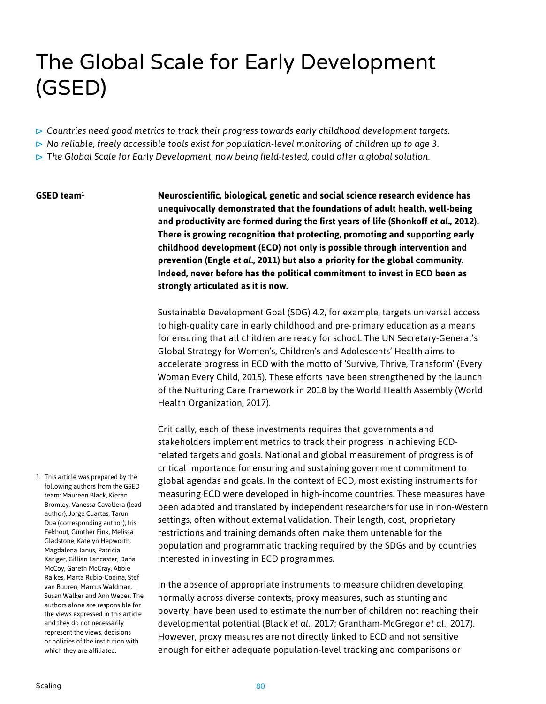# The Global Scale for Early Development (GSED)

- *Countries need good metrics to track their progress towards early childhood development targets.*
- *No reliable, freely accessible tools exist for population-level monitoring of children up to age 3.*
- *The Global Scale for Early Development, now being field-tested, could offer a global solution.*

#### **GSED team1**

**Neuroscientific, biological, genetic and social science research evidence has unequivocally demonstrated that the foundations of adult health, well-being and productivity are formed during the first years of life (Shonkoff** *et al.***, 2012). There is growing recognition that protecting, promoting and supporting early childhood development (ECD) not only is possible through intervention and prevention (Engle** *et al.***, 2011) but also a priority for the global community. Indeed, never before has the political commitment to invest in ECD been as strongly articulated as it is now.**

Sustainable Development Goal (SDG) 4.2, for example, targets universal access to high-quality care in early childhood and pre-primary education as a means for ensuring that all children are ready for school. The UN Secretary-General's Global Strategy for Women's, Children's and Adolescents' Health aims to accelerate progress in ECD with the motto of 'Survive, Thrive, Transform' (Every Woman Every Child, 2015). These efforts have been strengthened by the launch of the Nurturing Care Framework in 2018 by the World Health Assembly (World Health Organization, 2017).

Critically, each of these investments requires that governments and stakeholders implement metrics to track their progress in achieving ECDrelated targets and goals. National and global measurement of progress is of critical importance for ensuring and sustaining government commitment to global agendas and goals. In the context of ECD, most existing instruments for measuring ECD were developed in high-income countries. These measures have been adapted and translated by independent researchers for use in non-Western settings, often without external validation. Their length, cost, proprietary restrictions and training demands often make them untenable for the population and programmatic tracking required by the SDGs and by countries interested in investing in ECD programmes.

In the absence of appropriate instruments to measure children developing normally across diverse contexts, proxy measures, such as stunting and poverty, have been used to estimate the number of children not reaching their developmental potential (Black *et al.*, 2017; Grantham-McGregor *et al.*, 2017). However, proxy measures are not directly linked to ECD and not sensitive enough for either adequate population-level tracking and comparisons or

1 This article was prepared by the following authors from the GSED team: Maureen Black, Kieran Bromley, Vanessa Cavallera (lead author), Jorge Cuartas, Tarun Dua (corresponding author), Iris Eekhout, Günther Fink, Melissa Gladstone, Katelyn Hepworth, Magdalena Janus, Patricia Kariger, Gillian Lancaster, Dana McCoy, Gareth McCray, Abbie Raikes, Marta Rubio-Codina, Stef van Buuren, Marcus Waldman, Susan Walker and Ann Weber. The authors alone are responsible for the views expressed in this article and they do not necessarily represent the views, decisions or policies of the institution with which they are affiliated.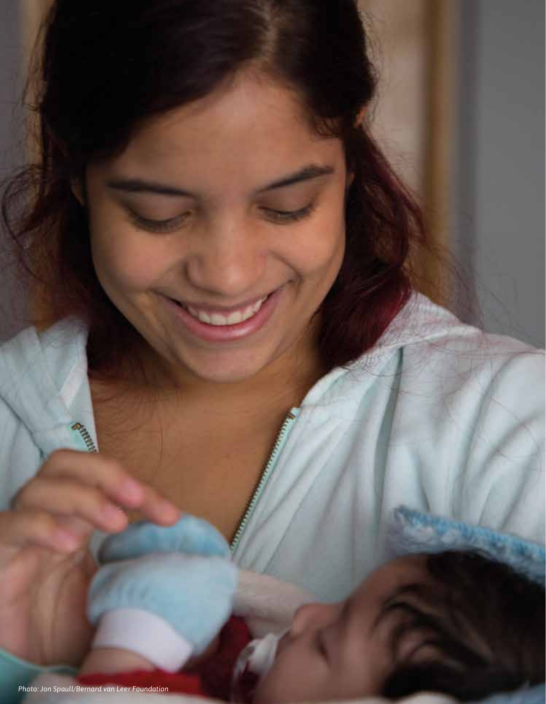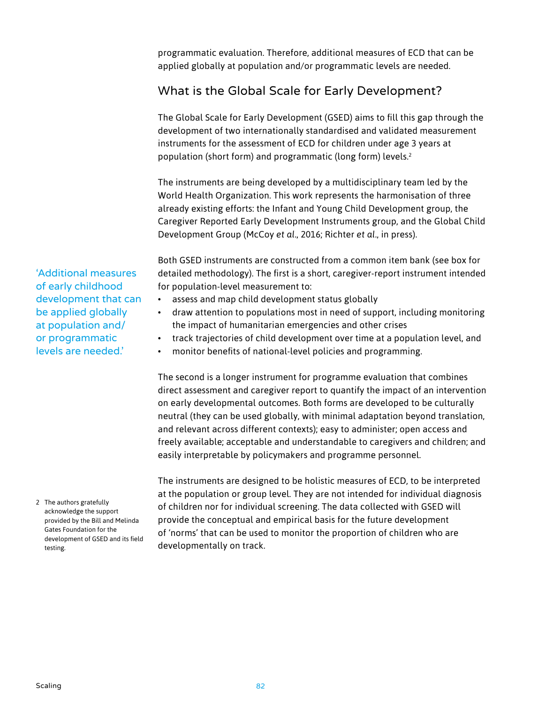programmatic evaluation. Therefore, additional measures of ECD that can be applied globally at population and/or programmatic levels are needed.

## What is the Global Scale for Early Development?

The Global Scale for Early Development (GSED) aims to fill this gap through the development of two internationally standardised and validated measurement instruments for the assessment of ECD for children under age 3 years at population (short form) and programmatic (long form) levels.2

The instruments are being developed by a multidisciplinary team led by the World Health Organization. This work represents the harmonisation of three already existing efforts: the Infant and Young Child Development group, the Caregiver Reported Early Development Instruments group, and the Global Child Development Group (McCoy *et al.*, 2016; Richter *et al.*, in press).

Both GSED instruments are constructed from a common item bank (see box for detailed methodology). The first is a short, caregiver-report instrument intended for population-level measurement to:

- assess and map child development status globally
- draw attention to populations most in need of support, including monitoring the impact of humanitarian emergencies and other crises
- track trajectories of child development over time at a population level, and
- monitor benefits of national-level policies and programming.

The second is a longer instrument for programme evaluation that combines direct assessment and caregiver report to quantify the impact of an intervention on early developmental outcomes. Both forms are developed to be culturally neutral (they can be used globally, with minimal adaptation beyond translation, and relevant across different contexts); easy to administer; open access and freely available; acceptable and understandable to caregivers and children; and easily interpretable by policymakers and programme personnel.

The instruments are designed to be holistic measures of ECD, to be interpreted at the population or group level. They are not intended for individual diagnosis of children nor for individual screening. The data collected with GSED will provide the conceptual and empirical basis for the future development of 'norms' that can be used to monitor the proportion of children who are developmentally on track.

'Additional measures of early childhood development that can be applied globally at population and/ or programmatic levels are needed.'

2 The authors gratefully acknowledge the support provided by the Bill and Melinda Gates Foundation for the development of GSED and its field testing.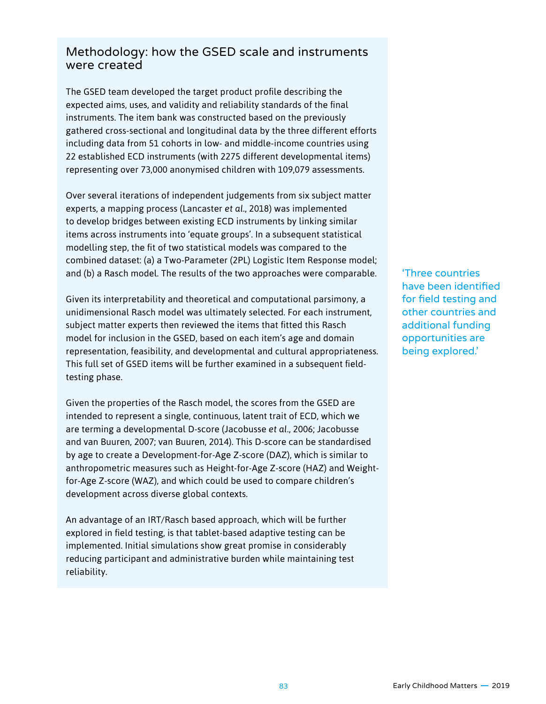### Methodology: how the GSED scale and instruments were created

The GSED team developed the target product profile describing the expected aims, uses, and validity and reliability standards of the final instruments. The item bank was constructed based on the previously gathered cross-sectional and longitudinal data by the three different efforts including data from 51 cohorts in low- and middle-income countries using 22 established ECD instruments (with 2275 different developmental items) representing over 73,000 anonymised children with 109,079 assessments.

Over several iterations of independent judgements from six subject matter experts, a mapping process (Lancaster *et al.*, 2018) was implemented to develop bridges between existing ECD instruments by linking similar items across instruments into 'equate groups'. In a subsequent statistical modelling step, the fit of two statistical models was compared to the combined dataset: (a) a Two-Parameter (2PL) Logistic Item Response model; and (b) a Rasch model. The results of the two approaches were comparable.

Given its interpretability and theoretical and computational parsimony, a unidimensional Rasch model was ultimately selected. For each instrument, subject matter experts then reviewed the items that fitted this Rasch model for inclusion in the GSED, based on each item's age and domain representation, feasibility, and developmental and cultural appropriateness. This full set of GSED items will be further examined in a subsequent fieldtesting phase.

Given the properties of the Rasch model, the scores from the GSED are intended to represent a single, continuous, latent trait of ECD, which we are terming a developmental D-score (Jacobusse *et al.*, 2006; Jacobusse and van Buuren, 2007; van Buuren, 2014). This D-score can be standardised by age to create a Development-for-Age Z-score (DAZ), which is similar to anthropometric measures such as Height-for-Age Z-score (HAZ) and Weightfor-Age Z-score (WAZ), and which could be used to compare children's development across diverse global contexts.

An advantage of an IRT/Rasch based approach, which will be further explored in field testing, is that tablet-based adaptive testing can be implemented. Initial simulations show great promise in considerably reducing participant and administrative burden while maintaining test reliability.

'Three countries have been identified for field testing and other countries and additional funding opportunities are being explored.'